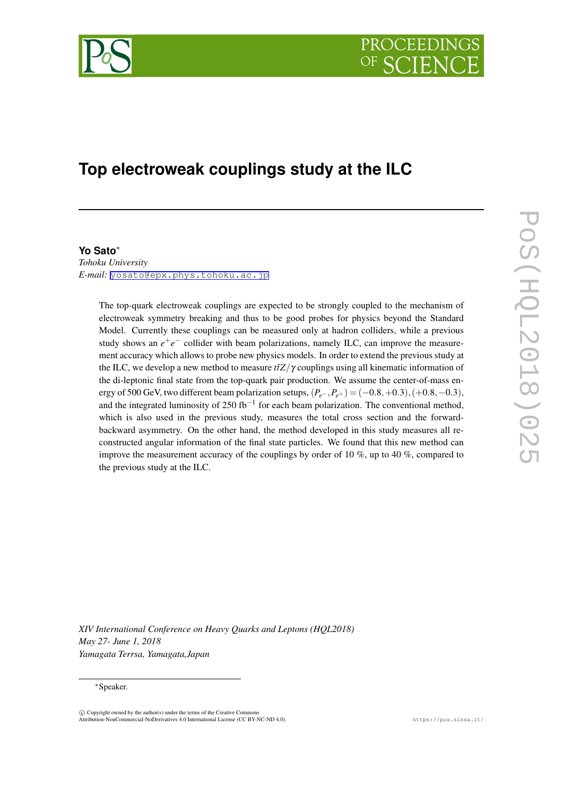

# **Top electroweak couplings study at the ILC**

# **Yo Sato***∗*

*Tohoku University E-mail:* [yosato@epx.phys.tohoku.ac.jp](mailto:yosato@epx.phys.tohoku.ac.jp)

> The top-quark electroweak couplings are expected to be strongly coupled to the mechanism of electroweak symmetry breaking and thus to be good probes for physics beyond the Standard Model. Currently these couplings can be measured only at hadron colliders, while a previous study shows an  $e^+e^-$  collider with beam polarizations, namely ILC, can improve the measurement accuracy which allows to probe new physics models. In order to extend the previous study at the ILC, we develop a new method to measure  $t\bar{t}Z/\gamma$  couplings using all kinematic information of the di-leptonic final state from the top-quark pair production. We assume the center-of-mass energy of 500 GeV, two different beam polarization setups,  $(P_{e^-}, P_{e^+}) = (-0.8, +0.3), (+0.8, -0.3)$ , and the integrated luminosity of 250 fb*−*<sup>1</sup> for each beam polarization. The conventional method, which is also used in the previous study, measures the total cross section and the forwardbackward asymmetry. On the other hand, the method developed in this study measures all reconstructed angular information of the final state particles. We found that this new method can improve the measurement accuracy of the couplings by order of 10  $\%$ , up to 40  $\%$ , compared to the previous study at the ILC.

*XIV International Conference on Heavy Quarks and Leptons (HQL2018) May 27- June 1, 2018 Yamagata Terrsa, Yamagata,Japan*

#### *∗*Speaker.

 $(\widehat{c})$  Copyright owned by the author(s) under the terms of the Creative Common Attribution-NonCommercial-NoDerivatives 4.0 International License (CC BY-NC-ND 4.0). https://pos.sissa.it/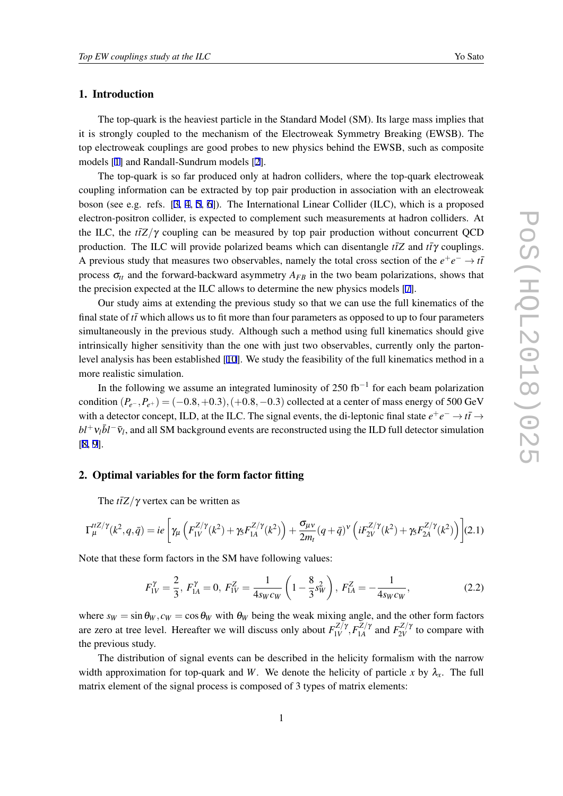## 1. Introduction

The top-quark is the heaviest particle in the Standard Model (SM). Its large mass implies that it is strongly coupled to the mechanism of the Electroweak Symmetry Breaking (EWSB). The top electroweak couplings are good probes to new physics behind the EWSB, such as composite models [\[1\]](#page-6-0) and Randall-Sundrum models [[2](#page-6-0)].

The top-quark is so far produced only at hadron colliders, where the top-quark electroweak coupling information can be extracted by top pair production in association with an electroweak boson (see e.g. refs. [\[3,](#page-6-0) [4](#page-6-0), [5,](#page-6-0) [6\]](#page-6-0)). The International Linear Collider (ILC), which is a proposed electron-positron collider, is expected to complement such measurements at hadron colliders. At the ILC, the  $t\bar{t}Z/\gamma$  coupling can be measured by top pair production without concurrent QCD production. The ILC will provide polarized beams which can disentangle  $t\bar{t}Z$  and  $t\bar{t}\gamma$  couplings. A previous study that measures two observables, namely the total cross section of the  $e^+e^- \rightarrow t\bar{t}$ process  $\sigma_{tt}$  and the forward-backward asymmetry  $A_{FB}$  in the two beam polarizations, shows that the precision expected at the ILC allows to determine the new physics models [[7](#page-6-0)].

Our study aims at extending the previous study so that we can use the full kinematics of the final state of *tt* which allows us to fit more than four parameters as opposed to up to four parameters simultaneously in the previous study. Although such a method using full kinematics should give intrinsically higher sensitivity than the one with just two observables, currently only the partonlevel analysis has been established [[10](#page-6-0)]. We study the feasibility of the full kinematics method in a more realistic simulation.

In the following we assume an integrated luminosity of 250 fb*−*<sup>1</sup> for each beam polarization condition  $(P_{e^-}, P_{e^+}) = (-0.8, +0.3), (+0.8, -0.3)$  collected at a center of mass energy of 500 GeV with a detector concept, ILD, at the ILC. The signal events, the di-leptonic final state  $e^+e^- \to t\bar{t} \to$  $bl^+v_l\bar{b}l^-\bar{v}_l$ , and all SM background events are reconstructed using the ILD full detector simulation [[8](#page-6-0), [9](#page-6-0)].

# 2. Optimal variables for the form factor fitting

The  $t\bar{t}Z/\gamma$  vertex can be written as

$$
\Gamma_{\mu}^{tZ/\gamma}(k^2, q, \bar{q}) = ie \left[ \gamma_{\mu} \left( F_{1V}^{Z/\gamma}(k^2) + \gamma_5 F_{1A}^{Z/\gamma}(k^2) \right) + \frac{\sigma_{\mu\nu}}{2m_t} (q + \bar{q})^{\nu} \left( i F_{2V}^{Z/\gamma}(k^2) + \gamma_5 F_{2A}^{Z/\gamma}(k^2) \right) \right] (2.1)
$$

Note that these form factors in the SM have following values:

$$
F_{1V}^{\gamma} = \frac{2}{3}, F_{1A}^{\gamma} = 0, F_{1V}^{Z} = \frac{1}{4s_W c_W} \left( 1 - \frac{8}{3} s_W^2 \right), F_{1A}^{Z} = -\frac{1}{4s_W c_W},
$$
(2.2)

where  $s_W = \sin \theta_W$ ,  $c_W = \cos \theta_W$  with  $\theta_W$  being the weak mixing angle, and the other form factors are zero at tree level. Hereafter we will discuss only about  $F_{1V}^{Z/\gamma}$  $F_{1V}^{Z/\gamma}, F_{1A}^{Z/\gamma}$  $F_{1A}^{Z/\gamma}$  and  $F_{2V}^{Z/\gamma}$  $\sum_{2V}^{Z/\gamma}$  to compare with the previous study.

The distribution of signal events can be described in the helicity formalism with the narrow width approximation for top-quark and *W*. We denote the helicity of particle *x* by  $\lambda_x$ . The full matrix element of the signal process is composed of 3 types of matrix elements: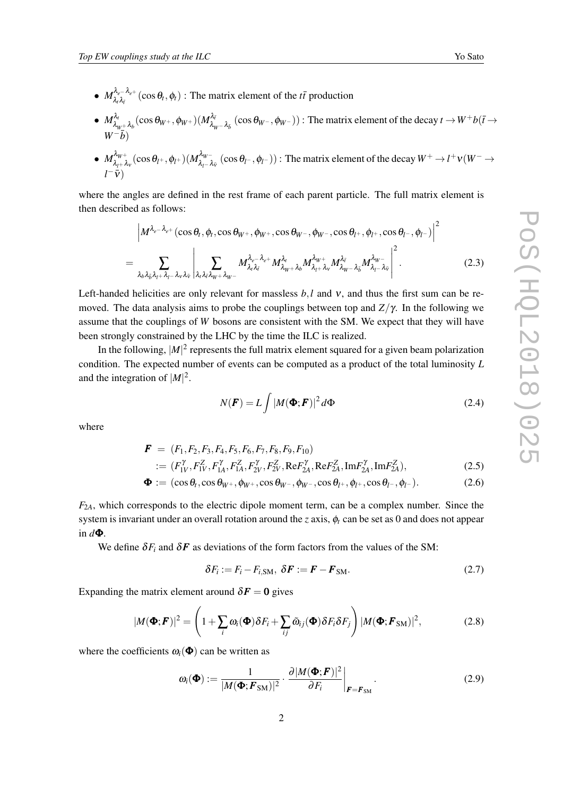- <span id="page-2-0"></span>•  $M_{\lambda,\lambda_r}^{\lambda_e-\lambda_{e^+}}(\cos\theta_t,\phi_t)$ : The matrix element of the *tt* production  $λ_tλ_{\bar{t}}$
- $M_{\lambda}^{\lambda_t}$  $\frac{\lambda_t}{\lambda_{W^+} \lambda_b}(\cos \theta_{W^+},\phi_{W^+})(M^{\lambda_{\vec{t}}}_{\lambda_{W}})$  $\lambda^{\overline{A}_{\overline{t}}}\lambda_{W}-\lambda_{\overline{b}}$  (cos  $\theta_{W^-},\phi_{W^-}$ )): The matrix element of the decay *t* →  $W^+b(\overline{t}\to\theta_{W^-})$ *W*<sup>−</sup>*b*<sup> $)$ </sup>
- $M_{\lambda}^{\lambda_W +}$  $\frac{\lambda_{W^{+}}}{\lambda_{l^{+}}\lambda_{\nu}}(\cos\theta_{l^{+}},\phi_{l^{+}})(M_{\lambda_{l^{-}}l^{-}}^{\lambda_{W^{-}}}$  $\lambda_{l}^{\mathcal{A}_{W-}}$  (cos  $\theta_{l}$ −, $\phi_{l}$ −)): The matrix element of the decay  $W^+ \to l^+ \nu (W^- \to l^+ \nu)$ *l*<sup>−</sup> $\overline{v}$ )

where the angles are defined in the rest frame of each parent particle. The full matrix element is then described as follows:

$$
\left| M^{\lambda_{e^{-}}\lambda_{e^{+}}}(\cos\theta_{t},\phi_{t},\cos\theta_{W^{+}},\phi_{W^{+}},\cos\theta_{W^{-}},\phi_{W^{-}},\cos\theta_{l^{+}},\phi_{l^{+}},\cos\theta_{l^{-}},\phi_{l^{-}}) \right|^{2}
$$
  
= 
$$
\sum_{\lambda_{b}\lambda_{\bar{b}}\lambda_{l}+\lambda_{l^{-}}\lambda_{v}\lambda_{\bar{v}}} \left| \sum_{\lambda_{i}\lambda_{\bar{i}}\lambda_{\bar{i}}\lambda_{w^{+}}\lambda_{w^{-}}} M^{\lambda_{e^{-}}\lambda_{e^{+}}}_{\lambda_{\bar{i}}\lambda_{\bar{i}}} M^{\lambda_{\bar{i}}}_{\lambda_{\bar{i}}\lambda_{\bar{i}}} M^{\lambda_{\bar{i}}}_{\lambda_{\bar{i}}\lambda_{\bar{i}}} M^{\lambda_{\bar{i}}\lambda_{\bar{i}}}_{\lambda_{\bar{i}}\lambda_{\bar{i}}} \right|^{2}.
$$
 (2.3)

Left-handed helicities are only relevant for massless  $b, l$  and  $v$ , and thus the first sum can be removed. The data analysis aims to probe the couplings between top and *Z/*γ. In the following we assume that the couplings of *W* bosons are consistent with the SM. We expect that they will have been strongly constrained by the LHC by the time the ILC is realized.

In the following,  $|M|^2$  represents the full matrix element squared for a given beam polarization condition. The expected number of events can be computed as a product of the total luminosity *L* and the integration of  $|M|^2$ .

$$
N(\boldsymbol{F}) = L \int |M(\boldsymbol{\Phi}; \boldsymbol{F})|^2 d\boldsymbol{\Phi}
$$
 (2.4)

where

$$
\bm{F}~=~(F_1,F_2,F_3,F_4,F_5,F_6,F_7,F_8,F_9,F_{10})
$$

$$
:= (F_{1V}^{\gamma}, F_{1V}^{Z}, F_{1A}^{\gamma}, F_{1A}^{Z}, F_{2V}^{\gamma}, F_{2V}^{Z}, \text{Re} F_{2A}^{\gamma}, \text{Re} F_{2A}^{Z}, \text{Im} F_{2A}^{\gamma}, \text{Im} F_{2A}^{Z}), \tag{2.5}
$$

$$
\mathbf{\Phi} := (\cos \theta_t, \cos \theta_{W^+}, \phi_{W^+}, \cos \theta_{W^-}, \phi_{W^-}, \cos \theta_{l^+}, \phi_{l^+}, \cos \theta_{l^-}, \phi_{l^-}). \tag{2.6}
$$

 $F_{2A}$ , which corresponds to the electric dipole moment term, can be a complex number. Since the system is invariant under an overall rotation around the *z* axis,  $\phi_t$  can be set as 0 and does not appear in *d*Φ.

We define  $\delta F_i$  and  $\delta F$  as deviations of the form factors from the values of the SM:

$$
\delta F_i := F_i - F_{i,\text{SM}}, \ \delta \boldsymbol{F} := \boldsymbol{F} - \boldsymbol{F}_{\text{SM}}.
$$

Expanding the matrix element around  $\delta F = 0$  gives

$$
|M(\mathbf{\Phi};\boldsymbol{F})|^2 = \left(1 + \sum_i \omega_i(\mathbf{\Phi}) \delta F_i + \sum_{ij} \tilde{\omega}_{ij}(\mathbf{\Phi}) \delta F_i \delta F_j\right) |M(\mathbf{\Phi};\boldsymbol{F}_{\text{SM}})|^2, \tag{2.8}
$$

where the coefficients  $\omega_i(\boldsymbol{\Phi})$  can be written as

$$
\omega_i(\mathbf{\Phi}) := \frac{1}{|M(\mathbf{\Phi}; \mathbf{F}_{SM})|^2} \cdot \frac{\partial |M(\mathbf{\Phi}; \mathbf{F})|^2}{\partial F_i} \bigg|_{\mathbf{F} = \mathbf{F}_{SM}}.
$$
\n(2.9)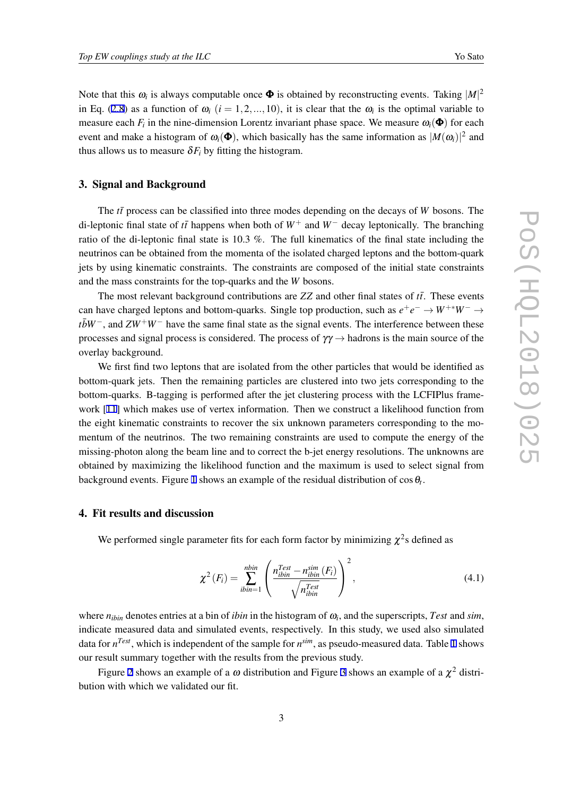Note that this  $\omega_i$  is always computable once  $\Phi$  is obtained by reconstructing events. Taking  $|M|^2$ in Eq. ([2.8](#page-2-0)) as a function of  $\omega_i$  ( $i = 1, 2, ..., 10$ ), it is clear that the  $\omega_i$  is the optimal variable to measure each  $F_i$  in the nine-dimension Lorentz invariant phase space. We measure  $\omega_i(\mathbf{\Phi})$  for each event and make a histogram of  $\omega_i(\mathbf{\Phi})$ , which basically has the same information as  $|M(\omega_i)|^2$  and thus allows us to measure  $\delta F_i$  by fitting the histogram.

### 3. Signal and Background

The  $t\bar{t}$  process can be classified into three modes depending on the decays of *W* bosons. The di-leptonic final state of *tt*¯ happens when both of *W*<sup>+</sup> and *W<sup>−</sup>* decay leptonically. The branching ratio of the di-leptonic final state is 10.3 %. The full kinematics of the final state including the neutrinos can be obtained from the momenta of the isolated charged leptons and the bottom-quark jets by using kinematic constraints. The constraints are composed of the initial state constraints and the mass constraints for the top-quarks and the *W* bosons.

The most relevant background contributions are  $ZZ$  and other final states of  $t\bar{t}$ . These events can have charged leptons and bottom-quarks. Single top production, such as  $e^+e^- \rightarrow W^{+*}W^- \rightarrow$ *tbW*<sup>−</sup>, and *ZW*<sup>+</sup>*W*<sup>−</sup> have the same final state as the signal events. The interference between these processes and signal process is considered. The process of γγ *→* hadrons is the main source of the overlay background.

We first find two leptons that are isolated from the other particles that would be identified as bottom-quark jets. Then the remaining particles are clustered into two jets corresponding to the bottom-quarks. B-tagging is performed after the jet clustering process with the LCFIPlus framework [[11](#page-6-0)] which makes use of vertex information. Then we construct a likelihood function from the eight kinematic constraints to recover the six unknown parameters corresponding to the momentum of the neutrinos. The two remaining constraints are used to compute the energy of the missing-photon along the beam line and to correct the b-jet energy resolutions. The unknowns are obtained by maximizing the likelihood function and the maximum is used to select signal from background events. Figure [1](#page-4-0) shows an example of the residual distribution of  $\cos\theta_t$ .

# 4. Fit results and discussion

We performed single parameter fits for each form factor by minimizing  $\chi^2$ s defined as

$$
\chi^2\left(F_i\right) = \sum_{ibin=1}^{nbin} \left(\frac{n_{ibin}^{Test} - n_{ibin}^{sim}\left(F_i\right)}{\sqrt{n_{ibin}^{Test}}}\right)^2,\tag{4.1}
$$

where  $n_{ibin}$  denotes entries at a bin of *ibin* in the histogram of  $\omega_i$ , and the superscripts, *Test* and *sim*, indicate measured data and simulated events, respectively. In this study, we used also simulated data for *n Test*, which is independent of the sample for *n sim*, as pseudo-measured data. Table [1](#page-4-0) shows our result summary together with the results from the previous study.

Figure [2](#page-5-0) shows an example of a  $\omega$  distribution and Figure [3](#page-5-0) shows an example of a  $\chi^2$  distribution with which we validated our fit.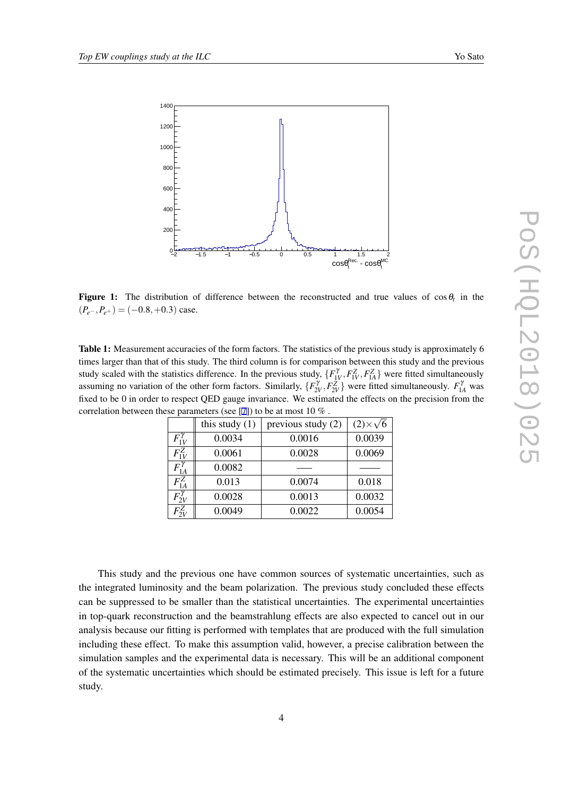<span id="page-4-0"></span>

**Figure 1:** The distribution of difference between the reconstructed and true values of  $\cos \theta_t$  in the  $(P_{e^-}, P_{e^+}) = (-0.8, +0.3)$  case.

Table 1: Measurement accuracies of the form factors. The statistics of the previous study is approximately 6 times larger than that of this study. The third column is for comparison between this study and the previous study scaled with the statistics difference. In the previous study,  $\{F_{1V}^{\gamma}, F_{1V}^Z, F_{1A}^Z\}$  were fitted simultaneously assuming no variation of the other form factors. Similarly,  $\{F_{2V}^{\gamma}, F_{2V}^Z\}$  were fitted simultaneously.  $F_{1A}^{\gamma}$  was fixed to be 0 in order to respect QED gauge invariance. We estimated the effects on the precision from the correlation between these parameters (see [[7\]](#page-6-0)) to be at most 10 % .

|                   | this study $(1)$ | $\epsilon$ se parameters (see $\epsilon$ ) to be at most to $\infty$ .<br>previous study (2) | $(2)\times\sqrt{6}$ |
|-------------------|------------------|----------------------------------------------------------------------------------------------|---------------------|
|                   |                  |                                                                                              |                     |
| $F_{1V}^{\gamma}$ | 0.0034           | 0.0016                                                                                       | 0.0039              |
| $F_{1V}^Z$        | 0.0061           | 0.0028                                                                                       | 0.0069              |
| $F_{1A}^{\gamma}$ | 0.0082           |                                                                                              |                     |
| $F^Z_{1A}$        | 0.013            | 0.0074                                                                                       | 0.018               |
| $F_{2V}^{\gamma}$ | 0.0028           | 0.0013                                                                                       | 0.0032              |
| $F_{2V}^Z$        | 0.0049           | 0.0022                                                                                       | 0.0054              |

This study and the previous one have common sources of systematic uncertainties, such as the integrated luminosity and the beam polarization. The previous study concluded these effects can be suppressed to be smaller than the statistical uncertainties. The experimental uncertainties in top-quark reconstruction and the beamstrahlung effects are also expected to cancel out in our analysis because our fitting is performed with templates that are produced with the full simulation including these effect. To make this assumption valid, however, a precise calibration between the simulation samples and the experimental data is necessary. This will be an additional component of the systematic uncertainties which should be estimated precisely. This issue is left for a future study.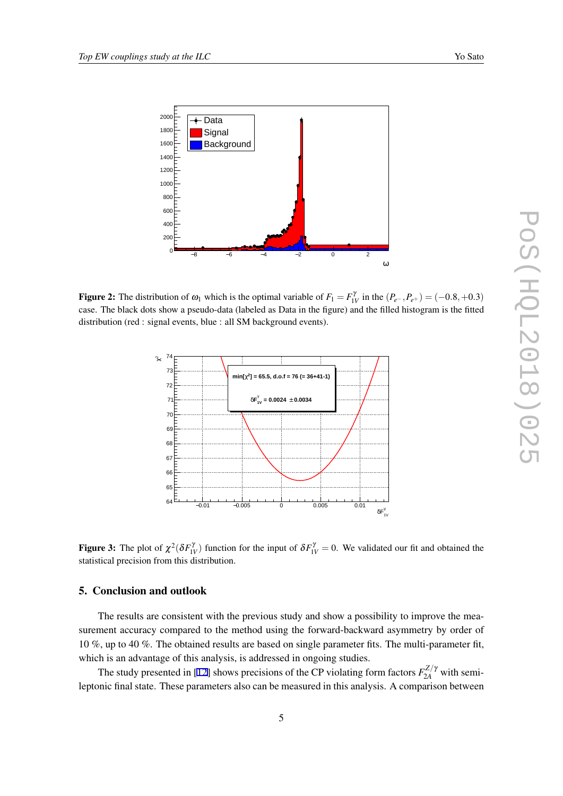<span id="page-5-0"></span>

**Figure 2:** The distribution of  $\omega_1$  which is the optimal variable of  $F_1 = F_{1V}^{\gamma}$  in the  $(P_{e^-}, P_{e^+}) = (-0.8, +0.3)$ case. The black dots show a pseudo-data (labeled as Data in the figure) and the filled histogram is the fitted distribution (red : signal events, blue : all SM background events).



**Figure 3:** The plot of  $\chi^2(\delta F_{1V}^{\gamma})$  function for the input of  $\delta F_{1V}^{\gamma} = 0$ . We validated our fit and obtained the statistical precision from this distribution.

# 5. Conclusion and outlook

The results are consistent with the previous study and show a possibility to improve the measurement accuracy compared to the method using the forward-backward asymmetry by order of 10 %, up to 40 %. The obtained results are based on single parameter fits. The multi-parameter fit, which is an advantage of this analysis, is addressed in ongoing studies.

The study presented in [\[12](#page-6-0)] shows precisions of the CP violating form factors  $F_{2A}^{Z/\gamma}$  with semileptonic final state. These parameters also can be measured in this analysis. A comparison between